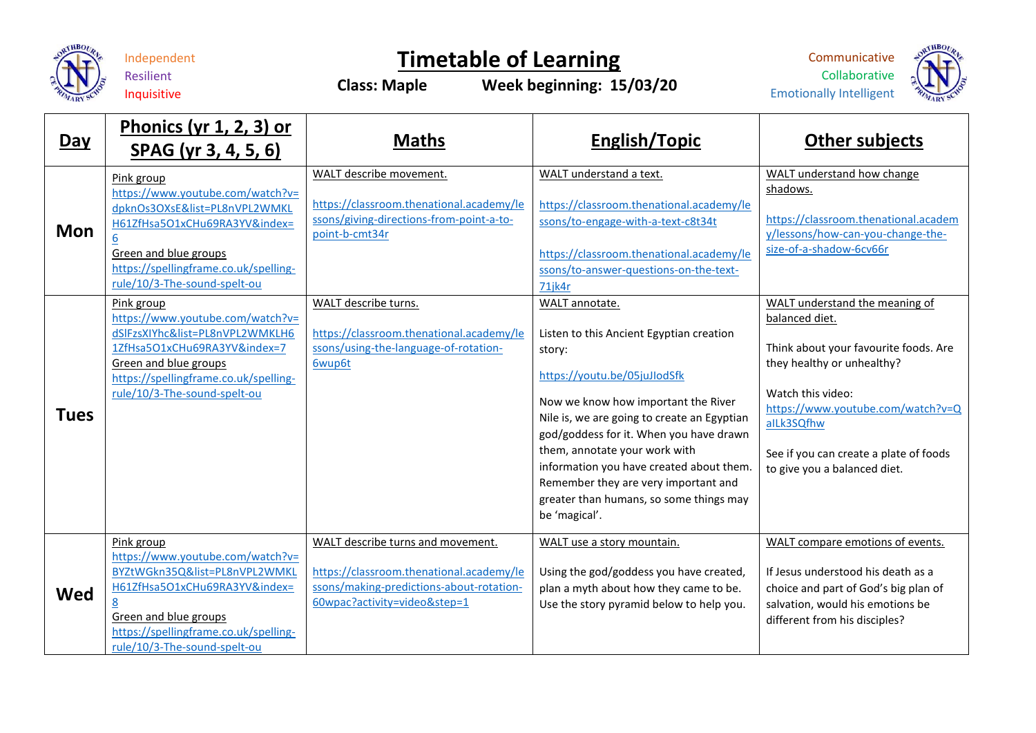

## Independent

Resilient Inquisitive

## **Timetable of Learning Class: Maple Week beginning: 15/03/20**

Communicative Collaborative Emotionally Intelligent



**Day Phonics (yr 1, 2, 3) or SPAG (yr 3, 4, 5, 6) Maths Maths English/Topic Constant in the SPAG** (yr 3, 4, 5, 6) **Mon** Pink group [https://www.youtube.com/watch?v=](https://www.youtube.com/watch?v=dpknOs3OXsE&list=PL8nVPL2WMKLH61ZfHsa5O1xCHu69RA3YV&index=6) [dpknOs3OXsE&list=PL8nVPL2WMKL](https://www.youtube.com/watch?v=dpknOs3OXsE&list=PL8nVPL2WMKLH61ZfHsa5O1xCHu69RA3YV&index=6) [H61ZfHsa5O1xCHu69RA3YV&index=](https://www.youtube.com/watch?v=dpknOs3OXsE&list=PL8nVPL2WMKLH61ZfHsa5O1xCHu69RA3YV&index=6) [6](https://www.youtube.com/watch?v=dpknOs3OXsE&list=PL8nVPL2WMKLH61ZfHsa5O1xCHu69RA3YV&index=6) Green and blue groups [https://spellingframe.co.uk/spelling](https://spellingframe.co.uk/spelling-rule/10/3-The-sound-spelt-ou)[rule/10/3-The-sound-spelt-ou](https://spellingframe.co.uk/spelling-rule/10/3-The-sound-spelt-ou) WALT describe movement. [https://classroom.thenational.academy/le](https://classroom.thenational.academy/lessons/giving-directions-from-point-a-to-point-b-cmt34r) [ssons/giving-directions-from-point-a-to](https://classroom.thenational.academy/lessons/giving-directions-from-point-a-to-point-b-cmt34r)[point-b-cmt34r](https://classroom.thenational.academy/lessons/giving-directions-from-point-a-to-point-b-cmt34r) WALT understand a text. [https://classroom.thenational.academy/le](https://classroom.thenational.academy/lessons/to-engage-with-a-text-c8t34t) [ssons/to-engage-with-a-text-c8t34t](https://classroom.thenational.academy/lessons/to-engage-with-a-text-c8t34t) [https://classroom.thenational.academy/le](https://classroom.thenational.academy/lessons/to-answer-questions-on-the-text-71jk4r) [ssons/to-answer-questions-on-the-text-](https://classroom.thenational.academy/lessons/to-answer-questions-on-the-text-71jk4r)[71jk4r](https://classroom.thenational.academy/lessons/to-answer-questions-on-the-text-71jk4r) WALT understand how change shadows. [https://classroom.thenational.academ](https://classroom.thenational.academy/lessons/how-can-you-change-the-size-of-a-shadow-6cv66r) [y/lessons/how-can-you-change-the](https://classroom.thenational.academy/lessons/how-can-you-change-the-size-of-a-shadow-6cv66r)[size-of-a-shadow-6cv66r](https://classroom.thenational.academy/lessons/how-can-you-change-the-size-of-a-shadow-6cv66r) **Tues** Pink group [https://www.youtube.com/watch?v=](https://www.youtube.com/watch?v=dSlFzsXIYhc&list=PL8nVPL2WMKLH61ZfHsa5O1xCHu69RA3YV&index=7) [dSlFzsXIYhc&list=PL8nVPL2WMKLH6](https://www.youtube.com/watch?v=dSlFzsXIYhc&list=PL8nVPL2WMKLH61ZfHsa5O1xCHu69RA3YV&index=7) [1ZfHsa5O1xCHu69RA3YV&index=7](https://www.youtube.com/watch?v=dSlFzsXIYhc&list=PL8nVPL2WMKLH61ZfHsa5O1xCHu69RA3YV&index=7) Green and blue groups [https://spellingframe.co.uk/spelling](https://spellingframe.co.uk/spelling-rule/10/3-The-sound-spelt-ou)[rule/10/3-The-sound-spelt-ou](https://spellingframe.co.uk/spelling-rule/10/3-The-sound-spelt-ou) WALT describe turns. [https://classroom.thenational.academy/le](https://classroom.thenational.academy/lessons/using-the-language-of-rotation-6wup6t) [ssons/using-the-language-of-rotation-](https://classroom.thenational.academy/lessons/using-the-language-of-rotation-6wup6t)[6wup6t](https://classroom.thenational.academy/lessons/using-the-language-of-rotation-6wup6t) WALT annotate. Listen to this Ancient Egyptian creation story: <https://youtu.be/05juJIodSfk> Now we know how important the River Nile is, we are going to create an Egyptian god/goddess for it. When you have drawn them, annotate your work with information you have created about them. Remember they are very important and greater than humans, so some things may be 'magical'. WALT understand the meaning of balanced diet. Think about your favourite foods. Are they healthy or unhealthy? Watch this video: [https://www.youtube.com/watch?v=Q](https://www.youtube.com/watch?v=QaILk3SQfhw) [aILk3SQfhw](https://www.youtube.com/watch?v=QaILk3SQfhw) See if you can create a plate of foods to give you a balanced diet. **Wed** Pink group [https://www.youtube.com/watch?v=](https://www.youtube.com/watch?v=BYZtWGkn35Q&list=PL8nVPL2WMKLH61ZfHsa5O1xCHu69RA3YV&index=8) [BYZtWGkn35Q&list=PL8nVPL2WMKL](https://www.youtube.com/watch?v=BYZtWGkn35Q&list=PL8nVPL2WMKLH61ZfHsa5O1xCHu69RA3YV&index=8) [H61ZfHsa5O1xCHu69RA3YV&index=](https://www.youtube.com/watch?v=BYZtWGkn35Q&list=PL8nVPL2WMKLH61ZfHsa5O1xCHu69RA3YV&index=8) [8](https://www.youtube.com/watch?v=BYZtWGkn35Q&list=PL8nVPL2WMKLH61ZfHsa5O1xCHu69RA3YV&index=8) Green and blue groups [https://spellingframe.co.uk/spelling](https://spellingframe.co.uk/spelling-rule/10/3-The-sound-spelt-ou)[rule/10/3-The-sound-spelt-ou](https://spellingframe.co.uk/spelling-rule/10/3-The-sound-spelt-ou) WALT describe turns and movement. [https://classroom.thenational.academy/le](https://classroom.thenational.academy/lessons/making-predictions-about-rotation-60wpac?activity=video&step=1) [ssons/making-predictions-about-rotation-](https://classroom.thenational.academy/lessons/making-predictions-about-rotation-60wpac?activity=video&step=1)[60wpac?activity=video&step=1](https://classroom.thenational.academy/lessons/making-predictions-about-rotation-60wpac?activity=video&step=1) WALT use a story mountain. Using the god/goddess you have created, plan a myth about how they came to be. Use the story pyramid below to help you. WALT compare emotions of events. If Jesus understood his death as a choice and part of God's big plan of salvation, would his emotions be different from his disciples?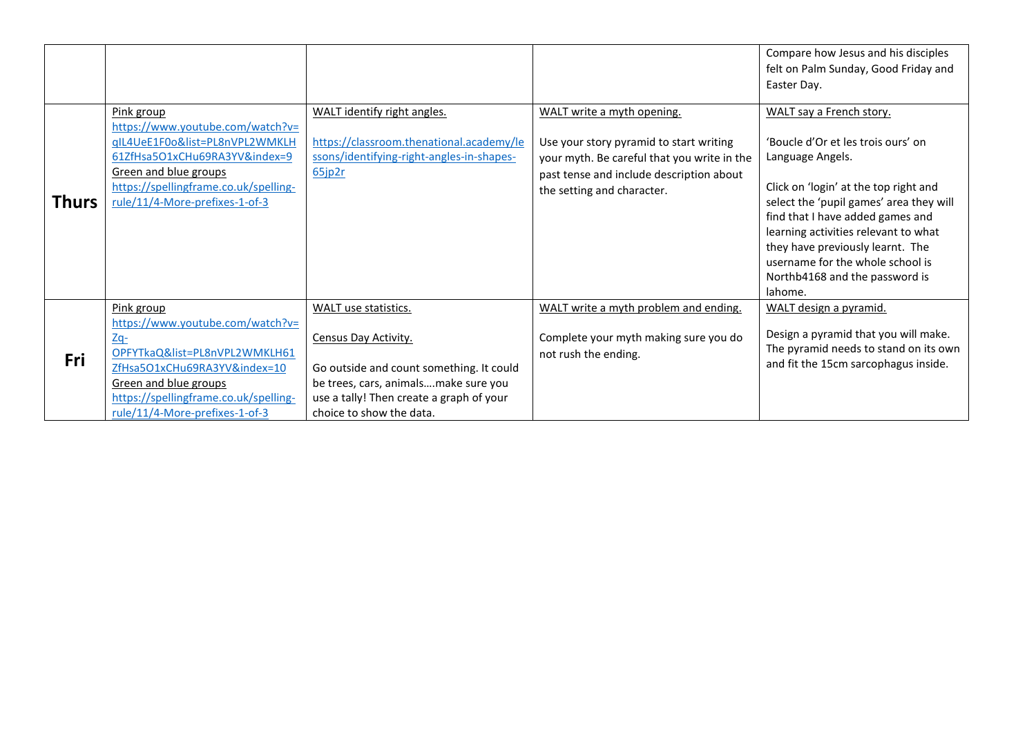|              |                                                                                                                                                                                                                              |                                                                                                                                                                                                          |                                                                                                                                                                                                | Compare how Jesus and his disciples<br>felt on Palm Sunday, Good Friday and<br>Easter Day.                                                                                                                                                                                                                                                                              |
|--------------|------------------------------------------------------------------------------------------------------------------------------------------------------------------------------------------------------------------------------|----------------------------------------------------------------------------------------------------------------------------------------------------------------------------------------------------------|------------------------------------------------------------------------------------------------------------------------------------------------------------------------------------------------|-------------------------------------------------------------------------------------------------------------------------------------------------------------------------------------------------------------------------------------------------------------------------------------------------------------------------------------------------------------------------|
| <b>Thurs</b> | Pink group<br>https://www.youtube.com/watch?v=<br>qIL4UeE1F0o&list=PL8nVPL2WMKLH<br>61ZfHsa5O1xCHu69RA3YV&index=9<br>Green and blue groups<br>https://spellingframe.co.uk/spelling-<br>rule/11/4-More-prefixes-1-of-3        | WALT identify right angles.<br>https://classroom.thenational.academy/le<br>ssons/identifying-right-angles-in-shapes-<br>$65$ jp2r                                                                        | WALT write a myth opening.<br>Use your story pyramid to start writing<br>your myth. Be careful that you write in the<br>past tense and include description about<br>the setting and character. | WALT say a French story.<br>'Boucle d'Or et les trois ours' on<br>Language Angels.<br>Click on 'login' at the top right and<br>select the 'pupil games' area they will<br>find that I have added games and<br>learning activities relevant to what<br>they have previously learnt. The<br>username for the whole school is<br>Northb4168 and the password is<br>lahome. |
| Fri          | Pink group<br>https://www.youtube.com/watch?v=<br>$Zq-$<br>OPFYTkaQ&list=PL8nVPL2WMKLH61<br>ZfHsa5O1xCHu69RA3YV&index=10<br>Green and blue groups<br>https://spellingframe.co.uk/spelling-<br>rule/11/4-More-prefixes-1-of-3 | WALT use statistics.<br>Census Day Activity.<br>Go outside and count something. It could<br>be trees, cars, animalsmake sure you<br>use a tally! Then create a graph of your<br>choice to show the data. | WALT write a myth problem and ending.<br>Complete your myth making sure you do<br>not rush the ending.                                                                                         | WALT design a pyramid.<br>Design a pyramid that you will make.<br>The pyramid needs to stand on its own<br>and fit the 15cm sarcophagus inside.                                                                                                                                                                                                                         |